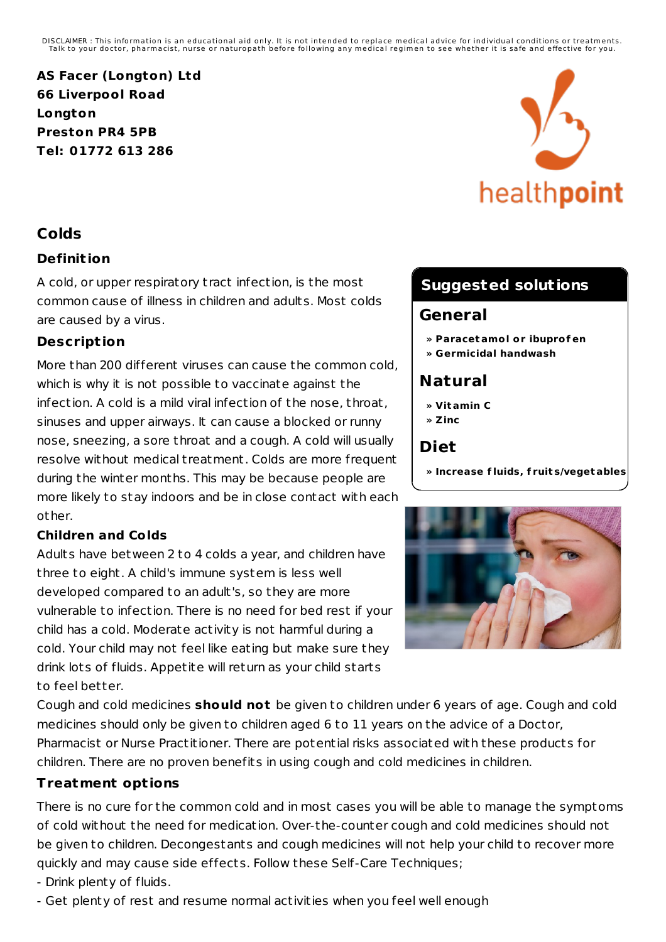DISCLAIMER : This information is an educational aid only. It is not intended to replace medical advice for individual conditions or treatments.<br>Talk to your doctor, pharmacist, nurse or naturopath before following any medi

**AS Facer (Longton) Ltd 66 Liverpool Road Longton Preston PR4 5PB Tel: 01772 613 286**

## **Colds**

### **Definit ion**

A cold, or upper respiratory t ract infection, is the most common cause of illness in children and adults. Most colds are caused by a virus.

### **Descript ion**

More than 200 different viruses can cause the common cold, which is why it is not possible to vaccinate against the infection. A cold is a mild viral infection of the nose, throat, sinuses and upper airways. It can cause a blocked or runny nose, sneezing, a sore throat and a cough. A cold will usually resolve without medical t reatment. Colds are more frequent during the winter months. This may be because people are more likely to stay indoors and be in close contact with each other.

### **Children and Colds**

Adults have between 2 to 4 colds a year, and children have three to eight. A child's immune system is less well developed compared to an adult's, so they are more vulnerable to infection. There is no need for bed rest if your child has a cold. Moderate activity is not harmful during a cold. Your child may not feel like eating but make sure they drink lots of fluids. Appetite will return as your child starts to feel better.



# **Suggested solutions**

### **General**

- **» Paracetamol or ibuprof en**
- **» Germicidal handwash**

# **Natural**

- **» Vitamin C**
- **» Zinc**

# **Diet**

**» Increase f luids, f ruit s/vegetables**



Cough and cold medicines **should not** be given to children under 6 years of age. Cough and cold medicines should only be given to children aged 6 to 11 years on the advice of a Doctor, Pharmacist or Nurse Practitioner. There are potential risks associated with these products for children. There are no proven benefits in using cough and cold medicines in children.

### **Treatment opt ions**

There is no cure for the common cold and in most cases you will be able to manage the symptoms of cold without the need for medication. Over-the-counter cough and cold medicines should not be given to children. Decongestants and cough medicines will not help your child to recover more quickly and may cause side effects. Follow these Self-Care Techniques;

- Drink plenty of fluids.
- Get plenty of rest and resume normal activities when you feel well enough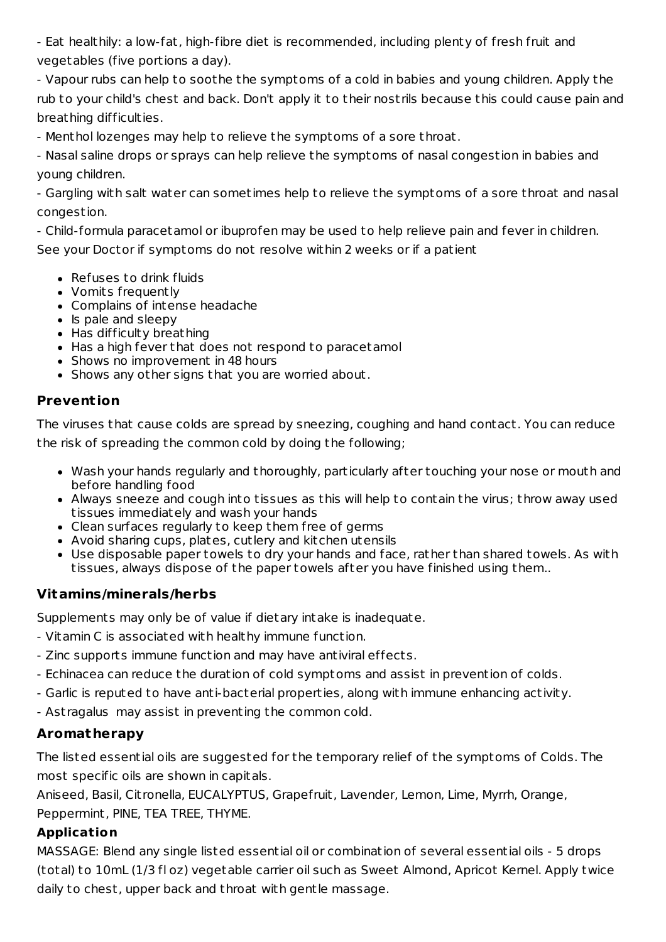- Eat healthily: a low-fat, high-fibre diet is recommended, including plenty of fresh fruit and vegetables (five portions a day).

- Vapour rubs can help to soothe the symptoms of a cold in babies and young children. Apply the rub to your child's chest and back. Don't apply it to their nost rils because this could cause pain and breathing difficulties.

- Menthol lozenges may help to relieve the symptoms of a sore throat.

- Nasal saline drops or sprays can help relieve the symptoms of nasal congestion in babies and young children.

- Gargling with salt water can sometimes help to relieve the symptoms of a sore throat and nasal congestion.

- Child-formula paracetamol or ibuprofen may be used to help relieve pain and fever in children. See your Doctor if symptoms do not resolve within 2 weeks or if a patient

- Refuses to drink fluids
- Vomits frequently
- Complains of intense headache
- $\bullet$  Is pale and sleepy
- Has difficulty breathing
- Has a high fever that does not respond to paracetamol
- Shows no improvement in 48 hours
- Shows any other signs that you are worried about.

### **Prevent ion**

The viruses that cause colds are spread by sneezing, coughing and hand contact. You can reduce the risk of spreading the common cold by doing the following;

- Wash your hands regularly and thoroughly, particularly after touching your nose or mouth and before handling food
- Always sneeze and cough into tissues as this will help to contain the virus; throw away used tissues immediately and wash your hands
- Clean surfaces regularly to keep them free of germs
- Avoid sharing cups, plates, cutlery and kitchen utensils
- Use disposable paper towels to dry your hands and face, rather than shared towels. As with tissues, always dispose of the paper towels after you have finished using them..

### **Vitamins/minerals/herbs**

Supplements may only be of value if dietary intake is inadequate.

- Vitamin C is associated with healthy immune function.
- Zinc supports immune function and may have antiviral effects.
- Echinacea can reduce the duration of cold symptoms and assist in prevention of colds.
- Garlic is reputed to have anti-bacterial properties, along with immune enhancing activity.
- Ast ragalus may assist in preventing the common cold.

### **Aromatherapy**

The listed essential oils are suggested for the temporary relief of the symptoms of Colds. The most specific oils are shown in capitals.

Aniseed, Basil, Cit ronella, EUCALYPTUS, Grapefruit, Lavender, Lemon, Lime, Myrrh, Orange, Peppermint, PINE, TEA TREE, THYME.

#### **Application**

MASSAGE: Blend any single listed essential oil or combination of several essential oils - 5 drops (total) to 10mL (1/3 fl oz) vegetable carrier oil such as Sweet Almond, Apricot Kernel. Apply twice daily to chest, upper back and throat with gentle massage.